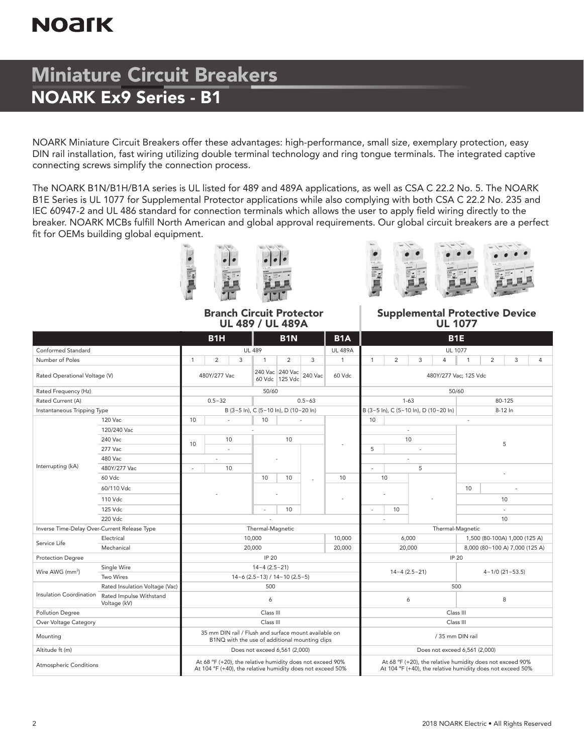# **NOArK**

## Miniature Circuit Breakers NOARK Ex9 Series - B1

NOARK Miniature Circuit Breakers offer these advantages: high-performance, small size, exemplary protection, easy DIN rail installation, fast wiring utilizing double terminal technology and ring tongue terminals. The integrated captive connecting screws simplify the connection process.

The NOARK B1N/B1H/B1A series is UL listed for 489 and 489A applications, as well as CSA C 22.2 No. 5. The NOARK B1E Series is UL 1077 for Supplemental Protector applications while also complying with both CSA C 22.2 No. 235 and IEC 60947-2 and UL 486 standard for connection terminals which allows the user to apply field wiring directly to the breaker. NOARK MCBs fulfill North American and global approval requirements. Our global circuit breakers are a perfect fit for OEMs building global equipment.





Branch Circuit Protector UL 489 / UL 489A

Supplemental Protective Device UL 1077

|                                              |                                         |                                           | B <sub>1</sub> H<br><b>B1N</b>                                                                          |              |   |                                                        |                |                                                                                                                         |              |                                                                                                                         | B <sub>1E</sub>       |          |                                       |                |                       |         |                |  |
|----------------------------------------------|-----------------------------------------|-------------------------------------------|---------------------------------------------------------------------------------------------------------|--------------|---|--------------------------------------------------------|----------------|-------------------------------------------------------------------------------------------------------------------------|--------------|-------------------------------------------------------------------------------------------------------------------------|-----------------------|----------|---------------------------------------|----------------|-----------------------|---------|----------------|--|
| Conformed Standard                           | <b>UL 489</b><br><b>UL 489A</b>         |                                           |                                                                                                         |              |   |                                                        |                | <b>UL 1077</b>                                                                                                          |              |                                                                                                                         |                       |          |                                       |                |                       |         |                |  |
| Number of Poles                              |                                         | $\mathbf{1}$                              |                                                                                                         | 2            | 3 | $\mathbf{1}$                                           | $\overline{2}$ | 3                                                                                                                       | $\mathbf{1}$ | $\mathbf{1}$                                                                                                            | $\overline{2}$        | 3        | 4                                     | $\overline{1}$ | $\overline{2}$        | 3       | $\overline{4}$ |  |
| Rated Operational Voltage (V)                |                                         |                                           |                                                                                                         | 480Y/277 Vac |   | 240 Vac 240 Vac<br>240 Vac<br>60 Vdc<br>60 Vdc 125 Vdc |                |                                                                                                                         |              |                                                                                                                         | 480Y/277 Vac; 125 Vdc |          |                                       |                |                       |         |                |  |
| Rated Frequency (Hz)                         |                                         | 50/60                                     |                                                                                                         |              |   |                                                        |                |                                                                                                                         |              |                                                                                                                         |                       |          |                                       | 50/60          |                       |         |                |  |
| Rated Current (A)                            |                                         |                                           |                                                                                                         | $0.5 - 32$   |   |                                                        |                | $0.5 - 63$                                                                                                              |              |                                                                                                                         |                       | $1 - 63$ |                                       |                |                       | 80-125  |                |  |
| Instantaneous Tripping Type                  |                                         |                                           |                                                                                                         |              |   | B (3~5 ln), C (5~10 ln), D (10~20 ln)                  |                |                                                                                                                         |              |                                                                                                                         |                       |          | B (3~5 ln), C (5~10 ln), D (10~20 ln) |                |                       | 8-12 In |                |  |
|                                              | 120 Vac                                 | 10                                        |                                                                                                         | $\sim$       |   | 10                                                     |                |                                                                                                                         |              | 10                                                                                                                      |                       |          |                                       |                |                       |         |                |  |
|                                              | 120/240 Vac                             |                                           |                                                                                                         |              |   |                                                        |                |                                                                                                                         |              |                                                                                                                         |                       |          |                                       |                |                       |         |                |  |
|                                              | 240 Vac                                 |                                           | 10<br>10<br>ä,                                                                                          |              |   | 10                                                     |                |                                                                                                                         | 10<br>5      |                                                                                                                         |                       | 5        |                                       |                |                       |         |                |  |
|                                              | 277 Vac                                 |                                           |                                                                                                         |              |   |                                                        |                |                                                                                                                         |              |                                                                                                                         |                       |          |                                       |                |                       |         |                |  |
|                                              | 480 Vac                                 |                                           |                                                                                                         | ٠            |   |                                                        |                |                                                                                                                         |              |                                                                                                                         |                       |          |                                       |                |                       |         |                |  |
| Interrupting (kA)                            | 480Y/277 Vac                            | ٠                                         |                                                                                                         | 10           |   |                                                        |                |                                                                                                                         |              | ä,                                                                                                                      |                       | 5        |                                       |                |                       |         |                |  |
|                                              | 60 Vdc                                  |                                           |                                                                                                         |              |   | 10                                                     | 10             | ä,                                                                                                                      | 10           |                                                                                                                         | 10                    |          |                                       |                |                       |         |                |  |
|                                              | 60/110 Vdc                              |                                           |                                                                                                         |              |   |                                                        |                |                                                                                                                         |              |                                                                                                                         |                       |          | 10                                    |                |                       |         |                |  |
|                                              | 110 Vdc                                 |                                           |                                                                                                         |              |   |                                                        |                |                                                                                                                         |              |                                                                                                                         |                       | 10       |                                       |                |                       |         |                |  |
|                                              | 125 Vdc                                 |                                           |                                                                                                         |              |   | $\overline{\phantom{a}}$                               | 10             |                                                                                                                         |              | ×,                                                                                                                      | 10                    |          |                                       |                |                       |         |                |  |
|                                              | 220 Vdc                                 |                                           |                                                                                                         |              |   |                                                        |                |                                                                                                                         |              | ä,                                                                                                                      |                       |          |                                       |                | 10                    |         |                |  |
| Inverse Time-Delay Over-Current Release Type |                                         | Thermal-Magnetic                          |                                                                                                         |              |   |                                                        |                |                                                                                                                         |              |                                                                                                                         |                       |          | Thermal-Magnetic                      |                |                       |         |                |  |
| Service Life                                 | Electrical                              | 10,000                                    |                                                                                                         |              |   |                                                        |                |                                                                                                                         | 10,000       | 6,000<br>1,500 (80-100A) 1,000 (125 A)                                                                                  |                       |          |                                       |                |                       |         |                |  |
|                                              | Mechanical                              | 20,000<br>20,000                          |                                                                                                         |              |   |                                                        |                |                                                                                                                         |              | 20,000<br>8,000 (80~100 A) 7,000 (125 A)                                                                                |                       |          |                                       |                |                       |         |                |  |
| <b>Protection Degree</b>                     |                                         | IP 20                                     |                                                                                                         |              |   |                                                        |                |                                                                                                                         |              | IP 20                                                                                                                   |                       |          |                                       |                |                       |         |                |  |
| Wire AWG (mm <sup>2</sup> )                  | Single Wire                             | $14 - 4(2.5 - 21)$                        |                                                                                                         |              |   |                                                        |                |                                                                                                                         |              | $14 - 4(2.5 - 21)$                                                                                                      |                       |          |                                       |                |                       |         |                |  |
|                                              | Two Wires                               | $14 - 6$ (2.5 ~ 13) / $14 - 10$ (2.5 ~ 5) |                                                                                                         |              |   |                                                        |                |                                                                                                                         |              |                                                                                                                         |                       |          |                                       |                | $4 - 1/0$ (21 ~ 53.5) |         |                |  |
|                                              | Rated Insulation Voltage (Vac)          | 500                                       |                                                                                                         |              |   |                                                        |                |                                                                                                                         |              | 500                                                                                                                     |                       |          |                                       |                |                       |         |                |  |
| Insulation Coordination                      | Rated Impulse Withstand<br>Voltage (kV) | 6                                         |                                                                                                         |              |   |                                                        |                |                                                                                                                         |              | 6                                                                                                                       |                       |          |                                       |                | 8                     |         |                |  |
| <b>Pollution Degree</b>                      |                                         |                                           |                                                                                                         |              |   | Class III                                              |                |                                                                                                                         |              | Class III                                                                                                               |                       |          |                                       |                |                       |         |                |  |
| Over Voltage Category                        |                                         |                                           |                                                                                                         |              |   | Class III                                              |                |                                                                                                                         |              | Class III                                                                                                               |                       |          |                                       |                |                       |         |                |  |
| Mounting                                     |                                         |                                           | 35 mm DIN rail / Flush and surface mount available on<br>B1NQ with the use of additional mounting clips |              |   |                                                        |                |                                                                                                                         |              |                                                                                                                         | / 35 mm DIN rail      |          |                                       |                |                       |         |                |  |
| Altitude ft (m)                              |                                         |                                           |                                                                                                         |              |   | Does not exceed 6,561 (2,000)                          |                |                                                                                                                         |              | Does not exceed 6,561 (2,000)                                                                                           |                       |          |                                       |                |                       |         |                |  |
| Atmospheric Conditions                       |                                         |                                           |                                                                                                         |              |   |                                                        |                | At 68 °F (+20), the relative humidity does not exceed 90%<br>At 104 °F (+40), the relative humidity does not exceed 50% |              | At 68 °F (+20), the relative humidity does not exceed 90%<br>At 104 °F (+40), the relative humidity does not exceed 50% |                       |          |                                       |                |                       |         |                |  |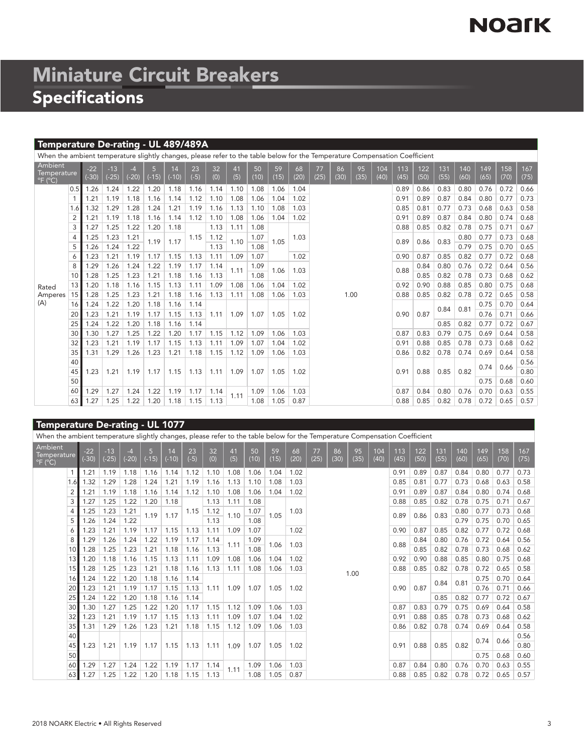# **NOArK**

# Miniature Circuit Breakers Specifications

### Temperature De-rating - UL 489/489A

|                                                        | When the ambient temperature slightly changes, please refer to the table below for the Temperature Compensation Coefficient |                  |                  |                 |         |               |              |           |                      |              |              |            |            |            |            |             |             |             |             |             |             |             |             |
|--------------------------------------------------------|-----------------------------------------------------------------------------------------------------------------------------|------------------|------------------|-----------------|---------|---------------|--------------|-----------|----------------------|--------------|--------------|------------|------------|------------|------------|-------------|-------------|-------------|-------------|-------------|-------------|-------------|-------------|
| Ambient<br>Temperature<br>$^{\circ}$ F ( $^{\circ}$ C) |                                                                                                                             | $-22$<br>$(-30)$ | $-13$<br>$(-25)$ | $-4$<br>$(-20)$ | $(-15)$ | 14<br>$(-10)$ | 23<br>$(-5)$ | 32<br>(0) | 41<br>(5)            | 50<br>(10)   | 59<br>(15)   | 68<br>(20) | 77<br>(25) | 86<br>(30) | 95<br>(35) | 104<br>(40) | 113<br>(45) | 122<br>(50) | 131<br>(55) | 140<br>(60) | 149<br>(65) | 158<br>(70) | 167<br>(75) |
|                                                        | 0.5                                                                                                                         | 1.26             | 1.24             | 1.22            | 1.20    | 1.18          | 1.16         | 1.14      | 1.10                 | 1.08         | 1.06         | 1.04       |            |            |            |             | 0.89        | 0.86        | 0.83        | 0.80        | 0.76        | 0.72        | 0.66        |
|                                                        |                                                                                                                             | 1.21             | 1.19             | 1.18            | 1.16    | 1.14          | 1.12         | 1.10      | 1.08                 | 1.06         | 1.04         | 1.02       |            |            |            |             | 0.91        | 0.89        | 0.87        | 0.84        | 0.80        | 0.77        | 0.73        |
|                                                        | 1.6                                                                                                                         | 1.32             | 1.29             | 1.28            | 1.24    | 1.21          | 1.19         | 1.16      | 1.13                 | 1.10         | 1.08         | 1.03       |            |            |            |             | 0.85        | 0.81        | 0.77        | 0.73        | 0.68        | 0.63        | 0.58        |
|                                                        | $\overline{2}$                                                                                                              | 1.21             | 1.19             | 1.18            | 1.16    | 1.14          | 1.12         | 1.10      | 1.08                 | 1.06         | 1.04         | 1.02       |            |            |            |             | 0.91        | 0.89        | 0.87        | 0.84        | 0.80        | 0.74        | 0.68        |
|                                                        | 3                                                                                                                           | 1.27             | 1.25             | 1.22            | 1.20    | 1.18          |              | 1.13      | 1.11                 | 1.08         |              |            |            |            |            |             | 0.88        | 0.85        | 0.82        | 0.78        | 0.75        | 0.71        | 0.67        |
|                                                        | 4                                                                                                                           | 1.25             | 1.23             | 1.21            | 1.19    | 1.17          | 1.15         | 1.12      | 1.10                 | 1.07         | 1.05         | 1.03       |            |            |            |             | 0.89        | 0.86        | 0.83        | 0.80        | 0.77        | 0.73        | 0.68        |
|                                                        | 5                                                                                                                           | 1.26             | 1.24             | 1.22            |         |               |              | 1.13      |                      | 1.08         |              |            |            |            |            |             |             |             |             | 0.79        | 0.75        | 0.70        | 0.65        |
|                                                        | 6                                                                                                                           | 1.23             | 1.21             | 1.19            | 1.17    | 1.15          | 1.13         | 1.11      | 1.09                 | 1.07         |              | 1.02       |            | 0.90       | 0.87       | 0.85        | 0.82        | 0.77        | 0.72        | 0.68        |             |             |             |
|                                                        | 8                                                                                                                           | 1.29             | 1.26             | 1.24            | 1.22    | 1.19          | 1.17         | 1.14      | 1.09<br>1.11<br>1.08 | 1.06<br>1.03 |              |            |            |            |            | 0.88        | 0.84        | 0.80        | 0.76        | 0.72        | 0.64        | 0.56        |             |
|                                                        | 10                                                                                                                          | 1.28             | 1.25             | 1.23            | 1.21    | 1.18          | 1.16         | 1.13      |                      |              |              |            |            |            |            |             |             | 0.85        | 0.82        | 0.78        | 0.73        | 0.68        | 0.62        |
| Rated                                                  | 13                                                                                                                          | 1.20             | 1.18             | 1.16            | 1.15    | 1.13          | 1.11         | 1.09      | 1.08                 | 1.06         | 1.04         | 1.02       |            |            |            |             | 0.92        | 0.90        | 0.88        | 0.85        | 0.80        | 0.75        | 0.68        |
| Amperes                                                | 15                                                                                                                          | 1.28             | 1.25             | 1.23            | 1.21    | 1.18          | 1.16         | 1.13      | 1.11                 | 1.08         | 1.03<br>1.06 |            | 1.00       |            |            |             | 0.88        | 0.85        | 0.82        | 0.78        | 0.72        | 0.65        | 0.58        |
| (A)                                                    | 16                                                                                                                          | 1.24             | 1.22             | 1.20            | 1.18    | 1.16          | 1.14         |           |                      |              |              |            |            |            |            |             |             |             |             |             | 0.75        | 0.70        | 0.64        |
|                                                        | 20                                                                                                                          | 1.23             | 1.21             | 1.19            | 1.17    | 1.15          | 1.13         | 1.11      | 1.09                 | 1.07         | 1.05         | 1.02       |            |            |            |             | 0.90        | 0.87        | 0.84        | 0.81        | 0.76        | 0.71        | 0.66        |
|                                                        | 25                                                                                                                          | 1.24             | 1.22             | 1.20            | 1.18    | 1.16          | 1.14         |           |                      |              |              |            |            |            |            |             |             |             | 0.85        | 0.82        | 0.77        | 0.72        | 0.67        |
|                                                        | 30                                                                                                                          | 1.30             | 1.27             | 1.25            | 1.22    | 1.20          | 1.17         | 1.15      | 1.12                 | 1.09         | 1.06         | 1.03       |            |            |            |             | 0.87        | 0.83        | 0.79        | 0.75        | 0.69        | 0.64        | 0.58        |
|                                                        | 32                                                                                                                          | 1.23             | 1.21             | 1.19            | 1.17    | 1.15          | 1.13         | 1.11      | 1.09                 | 1.07         | 1.04         | 1.02       |            |            |            |             | 0.91        | 0.88        | 0.85        | 0.78        | 0.73        | 0.68        | 0.62        |
|                                                        | 35                                                                                                                          | 1.31             | 1.29             | 1.26            | 1.23    | 1.21          | 1.18         | 1.15      | 1.12                 | 1.09         | 1.06         | 1.03       |            |            |            |             | 0.86        | 0.82        | 0.78        | 0.74        | 0.69        | 0.64        | 0.58        |
|                                                        | 40                                                                                                                          |                  |                  |                 |         |               |              |           |                      |              |              |            |            |            |            |             |             |             |             |             |             |             | 0.56        |
|                                                        | 45                                                                                                                          | 1.23             | 1.21             | 1.19            | 1.17    | 1.15          | 1.13         | 1.11      | 1.09                 | 1.07         | 1.05         | 1.02       |            |            |            |             | 0.91        | 0.88        | 0.85        | 0.82        | 0.74        | 0.66        | 0.80        |
|                                                        | 50                                                                                                                          |                  |                  |                 |         |               |              |           |                      |              |              |            |            |            |            |             |             |             |             |             | 0.75        | 0.68        | 0.60        |
|                                                        | 60                                                                                                                          | 1.29             | 1.27             | 1.24            | 1.22    | 1.19          | 1.17         | 1.14      |                      | 1.09         | 1.06         | 1.03       |            |            |            |             | 0.87        | 0.84        | 0.80        | 0.76        | 0.70        | 0.63        | 0.55        |
|                                                        | 63                                                                                                                          | 1.27             | 1.25             | 1.22            | 1.20    | 1.18          | 1.15         | 1.13      | 1.11                 | 1.08         | 1.05         | 0.87       |            |            |            |             | 0.88        | 0.85        | 0.82        | 0.78        | 0.72        | 0.65        | 0.57        |

### Temperature De-rating - UL 1077

|                                                        | When the ambient temperature slightly changes, please refer to the table below for the Temperature Compensation Coefficient |                  |                  |                 |         |               |              |           |           |            |            |            |            |            |            |             |             |             |             |             |             |             |             |
|--------------------------------------------------------|-----------------------------------------------------------------------------------------------------------------------------|------------------|------------------|-----------------|---------|---------------|--------------|-----------|-----------|------------|------------|------------|------------|------------|------------|-------------|-------------|-------------|-------------|-------------|-------------|-------------|-------------|
| Ambient<br>Temperature<br>$^{\circ}$ F ( $^{\circ}$ C) |                                                                                                                             | $-22$<br>$(-30)$ | $-13$<br>$(-25)$ | $-4$<br>$(-20)$ | $(-15)$ | 14<br>$(-10)$ | 23<br>$(-5)$ | 32<br>(0) | 41<br>(5) | 50<br>(10) | 59<br>(15) | 68<br>(20) | 77<br>(25) | 86<br>(30) | 95<br>(35) | 104<br>(40) | 113<br>(45) | 122<br>(50) | 131<br>(55) | 140<br>(60) | 149<br>(65) | 158<br>(70) | 167<br>(75) |
|                                                        |                                                                                                                             | 1.21             | 1.19             | 1.18            | 1.16    | 1.14          | 1.12         | 1.10      | 1.08      | 1.06       | 1.04       | 1.02       |            |            |            |             | 0.91        | 0.89        | 0.87        | 0.84        | 0.80        | 0.77        | 0.73        |
|                                                        |                                                                                                                             | 1.32             | 1.29             | 1.28            | 1.24    | 1.21          | 1.19         | 1.16      | 1.13      | 1.10       | 1.08       | 1.03       |            |            |            |             | 0.85        | 0.81        | 0.77        | 0.73        | 0.68        | 0.63        | 0.58        |
|                                                        |                                                                                                                             | 1.21             | 1.19             | 1.18            | 1.16    | 1.14          | 1.12         | 1.10      | 1.08      | 1.06       | 1.04       | 1.02       |            |            |            |             | 0.91        | 0.89        | 0.87        | 0.84        | 0.80        | 0.74        | 0.68        |
|                                                        | 3                                                                                                                           | 1.27             | 1.25             | 1.22            | 1.20    | 1.18          |              | 1.13      | 1.11      | 1.08       |            |            |            |            |            |             | 0.88        | 0.85        | 0.82        | 0.78        | 0.75        | 0.71        | 0.67        |
|                                                        |                                                                                                                             | 1.25             | 1.23             | 1.21            | 1.19    | 1.17          | 1.15         | 1.12      | 1.10      | 1.07       | 1.05       | 1.03       |            |            |            |             | 0.89        | 0.86        | 0.83        | 0.80        | 0.77        | 0.73        | 0.68        |
|                                                        | 5                                                                                                                           | 1.26             | 1.24             | 1.22            |         |               |              | 1.13      |           | 1.08       |            |            |            |            |            |             |             |             |             | 0.79        | 0.75        | 0.70        | 0.65        |
|                                                        | 6                                                                                                                           | 1.23             | 1.21             | 1.19            | 1.17    | 1.15          | 1.13         | 1.11      | 1.09      | 1.07       |            | 1.02       |            |            |            |             | 0.90        | 0.87        | 0.85        | 0.82        | 0.77        | 0.72        | 0.68        |
|                                                        | 8                                                                                                                           | 1.29             | 1.26             | 1.24            | 1.22    | 1.19          | 1.17         | 1.14      | 1.11      | 1.09       | 1.06       | 1.03       |            |            |            |             | 0.88        | 0.84        | 0.80        | 0.76        | 0.72        | 0.64        | 0.56        |
|                                                        | 10 <sup>1</sup>                                                                                                             | 1.28             | 1.25             | 1.23            | 1.21    | 1.18          | 1.16         | 1.13      |           | 1.08       |            |            |            |            |            |             |             | 0.85        | 0.82        | 0.78        | 0.73        | 0.68        | 0.62        |
|                                                        | 13                                                                                                                          | 1.20             | 1.18             | 1.16            | 1.15    | 1.13          | 1.11         | 1.09      | 1.08      | 1.06       | 1.04       | 1.02       |            |            |            |             | 0.92        | 0.90        | 0.88        | 0.85        | 0.80        | 0.75        | 0.68        |
|                                                        | 15 <sup>1</sup>                                                                                                             | 1.28             | 1.25             | 1.23            | 1.21    | 1.18          | 1.16         | 1.13      | 1.11      | 1.08       | 1.06       | 1.03       |            |            | 1.00       |             | 0.88        | 0.85        | 0.82        | 0.78        | 0.72        | 0.65        | 0.58        |
|                                                        | 16                                                                                                                          | 1.24             | 1.22             | 1.20            | 1.18    | 1.16          | 1.14         |           |           |            |            |            |            |            |            |             |             |             | 0.84        | 0.81        | 0.75        | 0.70        | 0.64        |
|                                                        | 20                                                                                                                          | 1.23             | 1.21             | 1.19            | 1.17    | 1.15          | 1.13         | 1.11      | 1.09      | 1.07       | 1.05       | 1.02       |            |            |            |             | 0.90        | 0.87        |             |             | 0.76        | 0.71        | 0.66        |
|                                                        | 25                                                                                                                          | 1.24             | 1.22             | 1.20            | 1.18    | 1.16          | 1.14         |           |           |            |            |            |            |            |            |             |             |             | 0.85        | 0.82        | 0.77        | 0.72        | 0.67        |
|                                                        | 30                                                                                                                          | 1.30             | 1.27             | 1.25            | 1.22    | 1.20          | 1.17         | 1.15      | 1.12      | 1.09       | 1.06       | 1.03       |            |            |            |             | 0.87        | 0.83        | 0.79        | 0.75        | 0.69        | 0.64        | 0.58        |
|                                                        | 32                                                                                                                          | 1.23             | 1.21             | 1.19            | 1.17    | 1.15          | 1.13         | 1.11      | 1.09      | 1.07       | 1.04       | 1.02       |            |            |            |             | 0.91        | 0.88        | 0.85        | 0.78        | 0.73        | 0.68        | 0.62        |
|                                                        | 35                                                                                                                          | 1.31             | 1.29             | 1.26            | 1.23    | 1.21          | 1.18         | 1.15      | 1.12      | 1.09       | 1.06       | 1.03       |            |            |            |             | 0.86        | 0.82        | 0.78        | 0.74        | 0.69        | 0.64        | 0.58        |
|                                                        | 40                                                                                                                          |                  |                  |                 |         |               |              |           |           |            |            |            |            |            |            |             |             |             |             |             | 0.74        | 0.66        | 0.56        |
|                                                        | 45                                                                                                                          | 1.23             | 1.21             | 1.19            | 1.17    | 1.15          | 1.13         | 1.11      | 1.09      | 1.07       | 1.05       | 1.02       |            |            |            |             | 0.91        | 0.88        | 0.85        | 0.82        |             |             | 0.80        |
|                                                        | 50                                                                                                                          |                  |                  |                 |         |               |              |           |           |            |            |            |            |            |            |             |             |             |             |             | 0.75        | 0.68        | 0.60        |
|                                                        | 60 l                                                                                                                        | 1.29             | 1.27             | 1.24            | 1.22    | 1.19          | 1.17         | 1.14      | 1.11      | 1.09       | 1.06       | 1.03       |            |            |            |             | 0.87        | 0.84        | 0.80        | 0.76        | 0.70        | 0.63        | 0.55        |
|                                                        | 63                                                                                                                          | 1.27             | 1.25             | 1.22            | 1.20    | 1.18          | 1.15         | 1.13      |           | 1.08       | 1.05       | 0.87       |            |            |            |             | 0.88        | 0.85        | 0.82        | 0.78        | 0.72        | 0.65        | 0.57        |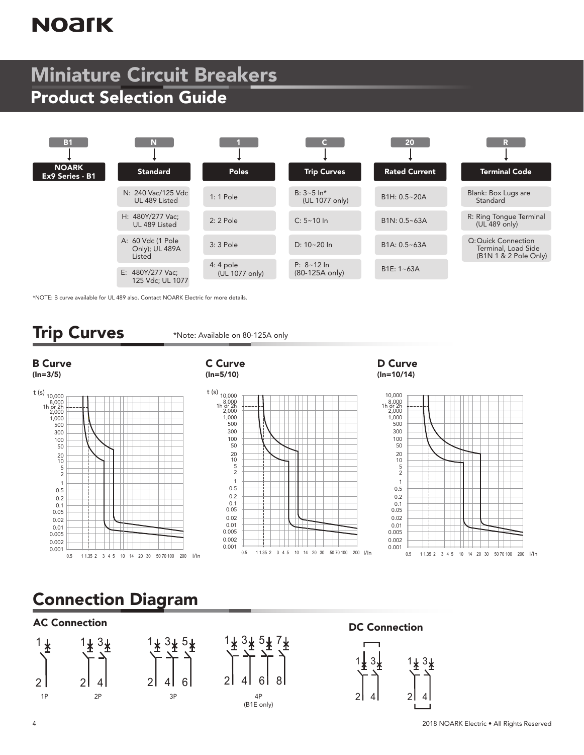# **NOArK**

## Miniature Circuit Breakers Product Selection Guide



\*NOTE: B curve available for UL 489 also. Contact NOARK Electric for more details.

### Trip Curves

\*Note: Available on 80-125A only

#### B Curve (In=3/5)



#### C Curve (In=5/10)

t (s)  $10,000$ 8,000 2,000 1h or 2h 1,000 500 300 100  $50$ 20 10 5 2 1  $0.5$ 0.2 0.1 0.05 0.02 0.01 0.005 0.002 0.001

#### D Curve (In=10/14)



### Connection Diagram

### AC Connection **DC Connection**





6

7

8